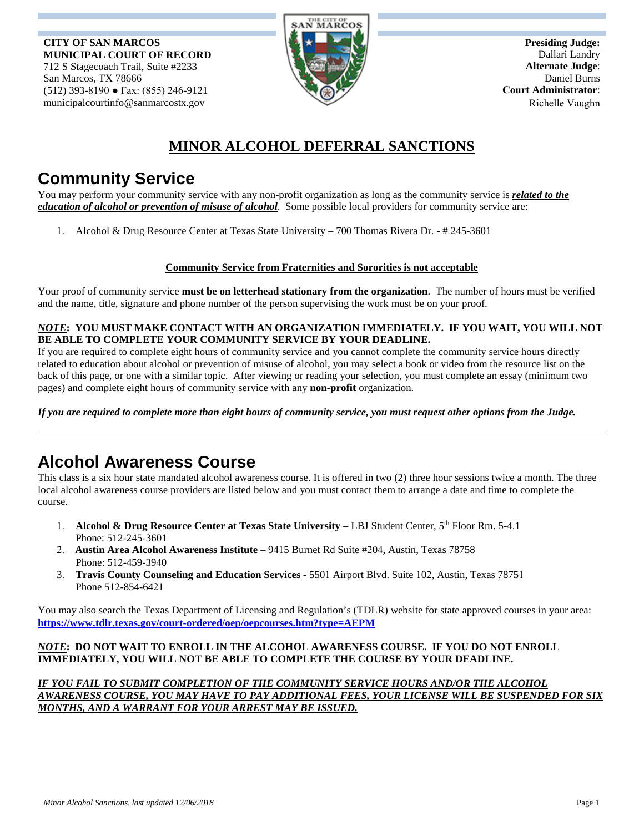**CITY OF SAN MARCOS MUNICIPAL COURT OF RECORD** 712 S Stagecoach Trail, Suite #2233 San Marcos, TX 78666 (512) 393-8190 ● Fax: (855) 246-9121 municipalcourtinfo@sanmarcostx.gov



**Presiding Judge:**  Dallari Landry **Alternate Judge**: Daniel Burns  **Court Administrator**: Richelle Vaughn

## **MINOR ALCOHOL DEFERRAL SANCTIONS**

# **Community Service**

You may perform your community service with any non-profit organization as long as the community service is *related to the education of alcohol or prevention of misuse of alcohol*. Some possible local providers for community service are:

1. Alcohol & Drug Resource Center at Texas State University – 700 Thomas Rivera Dr. - # 245-3601

### **Community Service from Fraternities and Sororities is not acceptable**

Your proof of community service **must be on letterhead stationary from the organization**. The number of hours must be verified and the name, title, signature and phone number of the person supervising the work must be on your proof.

#### *NOTE***: YOU MUST MAKE CONTACT WITH AN ORGANIZATION IMMEDIATELY. IF YOU WAIT, YOU WILL NOT BE ABLE TO COMPLETE YOUR COMMUNITY SERVICE BY YOUR DEADLINE.**

If you are required to complete eight hours of community service and you cannot complete the community service hours directly related to education about alcohol or prevention of misuse of alcohol, you may select a book or video from the resource list on the back of this page, or one with a similar topic. After viewing or reading your selection, you must complete an essay (minimum two pages) and complete eight hours of community service with any **non-profit** organization.

*If you are required to complete more than eight hours of community service, you must request other options from the Judge.*

# **Alcohol Awareness Course**

This class is a six hour state mandated alcohol awareness course. It is offered in two (2) three hour sessions twice a month. The three local alcohol awareness course providers are listed below and you must contact them to arrange a date and time to complete the course.

- 1. **Alcohol & Drug Resource Center at Texas State University** LBJ Student Center, 5th Floor Rm. 5-4.1 Phone: 512-245-3601
- 2. **Austin Area Alcohol Awareness Institute** 9415 Burnet Rd Suite #204, Austin, Texas 78758 Phone: 512-459-3940
- 3. **Travis County Counseling and Education Services** 5501 Airport Blvd. Suite 102, Austin, Texas 78751 Phone 512-854-6421

You may also search the Texas Department of Licensing and Regulation's (TDLR) website for state approved courses in your area: **https://www.tdlr.texas.gov/court-ordered/oep/oepcourses.htm?type=AEPM**

#### *NOTE***: DO NOT WAIT TO ENROLL IN THE ALCOHOL AWARENESS COURSE. IF YOU DO NOT ENROLL IMMEDIATELY, YOU WILL NOT BE ABLE TO COMPLETE THE COURSE BY YOUR DEADLINE.**

*IF YOU FAIL TO SUBMIT COMPLETION OF THE COMMUNITY SERVICE HOURS AND/OR THE ALCOHOL AWARENESS COURSE, YOU MAY HAVE TO PAY ADDITIONAL FEES, YOUR LICENSE WILL BE SUSPENDED FOR SIX MONTHS, AND A WARRANT FOR YOUR ARREST MAY BE ISSUED.*